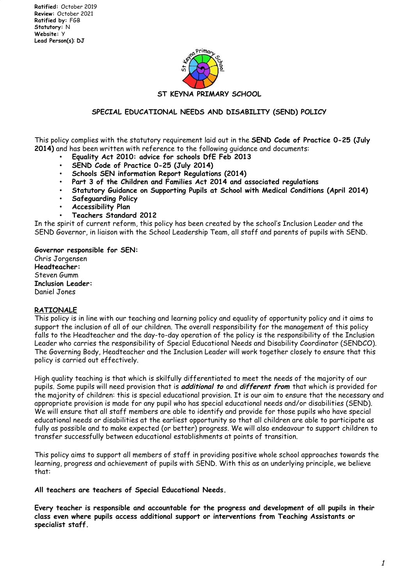

## **SPECIAL EDUCATIONAL NEEDS AND DISABILITY (SEND) POLICY**

This policy complies with the statutory requirement laid out in the **SEND Code of Practice 0-25 (July 2014)** and has been written with reference to the following guidance and documents:

- **Equality Act 2010: advice for schools DfE Feb 2013**
- **SEND Code of Practice 0-25 (July 2014)**
- **Schools SEN information Report Regulations (2014)**
- **Part 3 of the Children and Families Act 2014 and associated regulations**
- **Statutory Guidance on Supporting Pupils at School with Medical Conditions (April 2014)**
- **Safeguarding Policy**
- **Accessibility Plan**
- **Teachers Standard 2012**

In the spirit of current reform, this policy has been created by the school's Inclusion Leader and the SEND Governor, in liaison with the School Leadership Team, all staff and parents of pupils with SEND.

**Governor responsible for SEN:** Chris Jorgensen **Headteacher:** Steven Gumm **Inclusion Leader:** Daniel Jones

#### **RATIONALE**

This policy is in line with our teaching and learning policy and equality of opportunity policy and it aims to support the inclusion of all of our children. The overall responsibility for the management of this policy falls to the Headteacher and the day-to-day operation of the policy is the responsibility of the Inclusion Leader who carries the responsibility of Special Educational Needs and Disability Coordinator (SENDCO). The Governing Body, Headteacher and the Inclusion Leader will work together closely to ensure that this policy is carried out effectively.

High quality teaching is that which is skilfully differentiated to meet the needs of the majority of our pupils. Some pupils will need provision that is **additional to** and **different from** that which is provided for the majority of children: this is special educational provision. It is our aim to ensure that the necessary and appropriate provision is made for any pupil who has special educational needs and/or disabilities (SEND). We will ensure that all staff members are able to identify and provide for those pupils who have special educational needs or disabilities at the earliest opportunity so that all children are able to participate as fully as possible and to make expected (or better) progress. We will also endeavour to support children to transfer successfully between educational establishments at points of transition.

This policy aims to support all members of staff in providing positive whole school approaches towards the learning, progress and achievement of pupils with SEND. With this as an underlying principle, we believe that:

**All teachers are teachers of Special Educational Needs.**

**Every teacher is responsible and accountable for the progress and development of all pupils in their class even where pupils access additional support or interventions from Teaching Assistants or specialist staff.**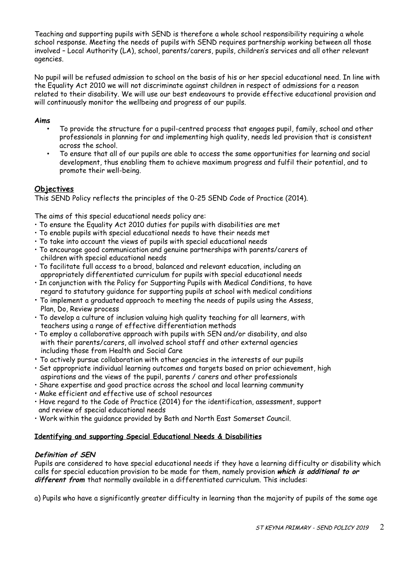Teaching and supporting pupils with SEND is therefore a whole school responsibility requiring a whole school response. Meeting the needs of pupils with SEND requires partnership working between all those involved – Local Authority (LA), school, parents/carers, pupils, children's services and all other relevant agencies.

No pupil will be refused admission to school on the basis of his or her special educational need. In line with the Equality Act 2010 we will not discriminate against children in respect of admissions for a reason related to their disability. We will use our best endeavours to provide effective educational provision and will continuously monitor the wellbeing and progress of our pupils.

## **Aims**

- To provide the structure for a pupil-centred process that engages pupil, family, school and other professionals in planning for and implementing high quality, needs led provision that is consistent across the school.
- To ensure that all of our pupils are able to access the same opportunities for learning and social development, thus enabling them to achieve maximum progress and fulfil their potential, and to promote their well-being.

# **Objectives**

This SEND Policy reflects the principles of the 0-25 SEND Code of Practice (2014).

The aims of this special educational needs policy are:

- To ensure the Equality Act 2010 duties for pupils with disabilities are met
- To enable pupils with special educational needs to have their needs met
- To take into account the views of pupils with special educational needs
- To encourage good communication and genuine partnerships with parents/carers of children with special educational needs
- To facilitate full access to a broad, balanced and relevant education, including an appropriately differentiated curriculum for pupils with special educational needs
- In conjunction with the Policy for Supporting Pupils with Medical Conditions, to have regard to statutory guidance for supporting pupils at school with medical conditions
- To implement a graduated approach to meeting the needs of pupils using the Assess, Plan, Do, Review process
- To develop a culture of inclusion valuing high quality teaching for all learners, with teachers using a range of effective differentiation methods
- To employ a collaborative approach with pupils with SEN and/or disability, and also with their parents/carers, all involved school staff and other external agencies including those from Health and Social Care
- To actively pursue collaboration with other agencies in the interests of our pupils
- Set appropriate individual learning outcomes and targets based on prior achievement, high aspirations and the views of the pupil, parents / carers and other professionals
- Share expertise and good practice across the school and local learning community
- Make efficient and effective use of school resources
- Have regard to the Code of Practice (2014) for the identification, assessment, support and review of special educational needs
- Work within the guidance provided by Bath and North East Somerset Council.

### **Identifying and supporting Special Educational Needs & Disabilities**

# **Definition of SEN**

Pupils are considered to have special educational needs if they have a learning difficulty or disability which calls for special education provision to be made for them, namely provision **which is additional to or different from** that normally available in a differentiated curriculum. This includes:

a) Pupils who have a significantly greater difficulty in learning than the majority of pupils of the same age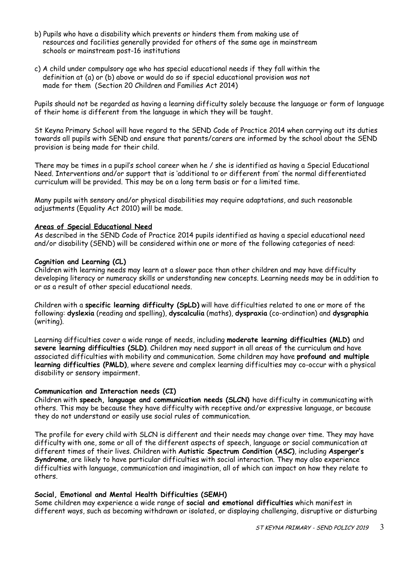- b) Pupils who have a disability which prevents or hinders them from making use of resources and facilities generally provided for others of the same age in mainstream schools or mainstream post-16 institutions
- c) A child under compulsory age who has special educational needs if they fall within the definition at (a) or (b) above or would do so if special educational provision was not made for them (Section 20 Children and Families Act 2014)

Pupils should not be regarded as having a learning difficulty solely because the language or form of language of their home is different from the language in which they will be taught.

St Keyna Primary School will have regard to the SEND Code of Practice 2014 when carrying out its duties towards all pupils with SEND and ensure that parents/carers are informed by the school about the SEND provision is being made for their child.

There may be times in a pupil's school career when he / she is identified as having a Special Educational Need. Interventions and/or support that is 'additional to or different from' the normal differentiated curriculum will be provided. This may be on a long term basis or for a limited time.

Many pupils with sensory and/or physical disabilities may require adaptations, and such reasonable adjustments (Equality Act 2010) will be made.

#### **Areas of Special Educational Need**

As described in the SEND Code of Practice 2014 pupils identified as having a special educational need and/or disability (SEND) will be considered within one or more of the following categories of need:

#### **Cognition and Learning (CL)**

Children with learning needs may learn at a slower pace than other children and may have difficulty developing literacy or numeracy skills or understanding new concepts. Learning needs may be in addition to or as a result of other special educational needs.

Children with a **specific learning difficulty (SpLD)** will have difficulties related to one or more of the following: **dyslexia** (reading and spelling), **dyscalculia** (maths), **dyspraxia** (co-ordination) and **dysgraphia** (writing).

Learning difficulties cover a wide range of needs, including **moderate learning difficulties (MLD)** and **severe learning difficulties (SLD)**. Children may need support in all areas of the curriculum and have associated difficulties with mobility and communication. Some children may have **profound and multiple learning difficulties (PMLD)**, where severe and complex learning difficulties may co-occur with a physical disability or sensory impairment.

#### **Communication and Interaction needs (CI)**

Children with **speech, language and communication needs (SLCN)** have difficulty in communicating with others. This may be because they have difficulty with receptive and/or expressive language, or because they do not understand or easily use social rules of communication.

The profile for every child with SLCN is different and their needs may change over time. They may have difficulty with one, some or all of the different aspects of speech, language or social communication at different times of their lives. Children with **Autistic Spectrum Condition (ASC)**, including **Asperger's Syndrome**, are likely to have particular difficulties with social interaction. They may also experience difficulties with language, communication and imagination, all of which can impact on how they relate to others.

### **Social, Emotional and Mental Health Difficulties (SEMH)**

Some children may experience a wide range of **social and emotional difficulties** which manifest in different ways, such as becoming withdrawn or isolated, or displaying challenging, disruptive or disturbing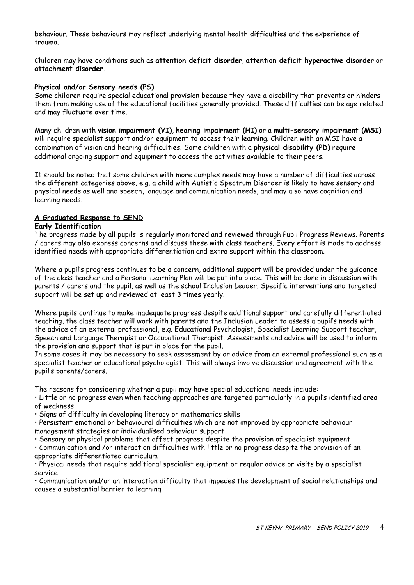behaviour. These behaviours may reflect underlying mental health difficulties and the experience of trauma.

Children may have conditions such as **attention deficit disorder**, **attention deficit hyperactive disorder** or **attachment disorder**.

#### **Physical and/or Sensory needs (PS)**

Some children require special educational provision because they have a disability that prevents or hinders them from making use of the educational facilities generally provided. These difficulties can be age related and may fluctuate over time.

Many children with **vision impairment (VI)**, **hearing impairment (HI)** or a **multi-sensory impairment (MSI)** will require specialist support and/or equipment to access their learning. Children with an MSI have a combination of vision and hearing difficulties. Some children with a **physical disability (PD)** require additional ongoing support and equipment to access the activities available to their peers.

It should be noted that some children with more complex needs may have a number of difficulties across the different categories above, e.g. a child with Autistic Spectrum Disorder is likely to have sensory and physical needs as well and speech, language and communication needs, and may also have cognition and learning needs.

### **A Graduated Response to SEND**

### **Early Identification**

The progress made by all pupils is regularly monitored and reviewed through Pupil Progress Reviews. Parents / carers may also express concerns and discuss these with class teachers. Every effort is made to address identified needs with appropriate differentiation and extra support within the classroom.

Where a pupil's progress continues to be a concern, additional support will be provided under the guidance of the class teacher and a Personal Learning Plan will be put into place. This will be done in discussion with parents / carers and the pupil, as well as the school Inclusion Leader. Specific interventions and targeted support will be set up and reviewed at least 3 times yearly.

Where pupils continue to make inadequate progress despite additional support and carefully differentiated teaching, the class teacher will work with parents and the Inclusion Leader to assess a pupil's needs with the advice of an external professional, e.g. Educational Psychologist, Specialist Learning Support teacher, Speech and Language Therapist or Occupational Therapist. Assessments and advice will be used to inform the provision and support that is put in place for the pupil.

In some cases it may be necessary to seek assessment by or advice from an external professional such as a specialist teacher or educational psychologist. This will always involve discussion and agreement with the pupil's parents/carers.

The reasons for considering whether a pupil may have special educational needs include:

• Little or no progress even when teaching approaches are targeted particularly in a pupil's identified area of weakness

• Signs of difficulty in developing literacy or mathematics skills

• Persistent emotional or behavioural difficulties which are not improved by appropriate behaviour management strategies or individualised behaviour support

• Sensory or physical problems that affect progress despite the provision of specialist equipment

• Communication and /or interaction difficulties with little or no progress despite the provision of an appropriate differentiated curriculum

• Physical needs that require additional specialist equipment or regular advice or visits by a specialist service

• Communication and/or an interaction difficulty that impedes the development of social relationships and causes a substantial barrier to learning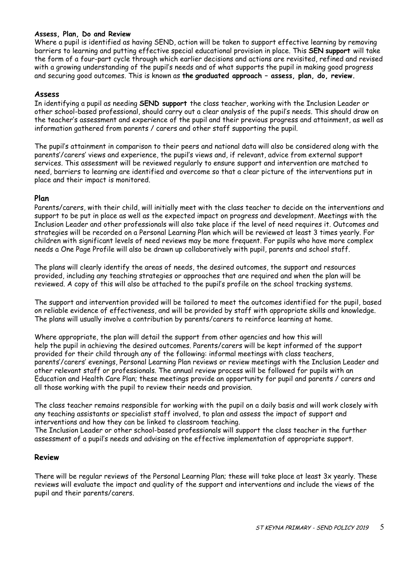### **Assess, Plan, Do and Review**

Where a pupil is identified as having SEND, action will be taken to support effective learning by removing barriers to learning and putting effective special educational provision in place. This **SEN support** will take the form of a four-part cycle through which earlier decisions and actions are revisited, refined and revised with a growing understanding of the pupil's needs and of what supports the pupil in making good progress and securing good outcomes. This is known as **the graduated approach – assess, plan, do, review.**

### **Assess**

In identifying a pupil as needing **SEND support** the class teacher, working with the Inclusion Leader or other school-based professional, should carry out a clear analysis of the pupil's needs. This should draw on the teacher's assessment and experience of the pupil and their previous progress and attainment, as well as information gathered from parents / carers and other staff supporting the pupil.

The pupil's attainment in comparison to their peers and national data will also be considered along with the parents'/carers' views and experience, the pupil's views and, if relevant, advice from external support services. This assessment will be reviewed regularly to ensure support and intervention are matched to need, barriers to learning are identified and overcome so that a clear picture of the interventions put in place and their impact is monitored.

### **Plan**

Parents/carers, with their child, will initially meet with the class teacher to decide on the interventions and support to be put in place as well as the expected impact on progress and development. Meetings with the Inclusion Leader and other professionals will also take place if the level of need requires it. Outcomes and strategies will be recorded on a Personal Learning Plan which will be reviewed at least 3 times yearly. For children with significant levels of need reviews may be more frequent. For pupils who have more complex needs a One Page Profile will also be drawn up collaboratively with pupil, parents and school staff.

The plans will clearly identify the areas of needs, the desired outcomes, the support and resources provided, including any teaching strategies or approaches that are required and when the plan will be reviewed. A copy of this will also be attached to the pupil's profile on the school tracking systems.

The support and intervention provided will be tailored to meet the outcomes identified for the pupil, based on reliable evidence of effectiveness, and will be provided by staff with appropriate skills and knowledge. The plans will usually involve a contribution by parents/carers to reinforce learning at home.

Where appropriate, the plan will detail the support from other agencies and how this will help the pupil in achieving the desired outcomes. Parents/carers will be kept informed of the support provided for their child through any of the following: informal meetings with class teachers, parents'/carers' evenings, Personal Learning Plan reviews or review meetings with the Inclusion Leader and other relevant staff or professionals. The annual review process will be followed for pupils with an Education and Health Care Plan; these meetings provide an opportunity for pupil and parents / carers and all those working with the pupil to review their needs and provision.

The class teacher remains responsible for working with the pupil on a daily basis and will work closely with any teaching assistants or specialist staff involved, to plan and assess the impact of support and interventions and how they can be linked to classroom teaching.

The Inclusion Leader or other school-based professionals will support the class teacher in the further assessment of a pupil's needs and advising on the effective implementation of appropriate support.

### **Review**

There will be regular reviews of the Personal Learning Plan; these will take place at least 3x yearly. These reviews will evaluate the impact and quality of the support and interventions and include the views of the pupil and their parents/carers.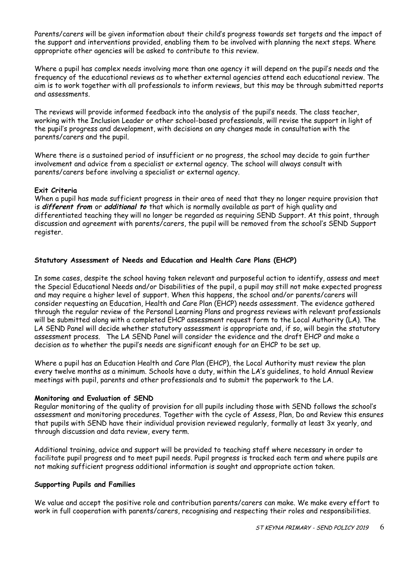Parents/carers will be given information about their child's progress towards set targets and the impact of the support and interventions provided, enabling them to be involved with planning the next steps. Where appropriate other agencies will be asked to contribute to this review.

Where a pupil has complex needs involving more than one agency it will depend on the pupil's needs and the frequency of the educational reviews as to whether external agencies attend each educational review. The aim is to work together with all professionals to inform reviews, but this may be through submitted reports and assessments.

The reviews will provide informed feedback into the analysis of the pupil's needs. The class teacher, working with the Inclusion Leader or other school-based professionals, will revise the support in light of the pupil's progress and development, with decisions on any changes made in consultation with the parents/carers and the pupil.

Where there is a sustained period of insufficient or no progress, the school may decide to gain further involvement and advice from a specialist or external agency. The school will always consult with parents/carers before involving a specialist or external agency.

### **Exit Criteria**

When a pupil has made sufficient progress in their area of need that they no longer require provision that is **different from** or **additional to** that which is normally available as part of high quality and differentiated teaching they will no longer be regarded as requiring SEND Support. At this point, through discussion and agreement with parents/carers, the pupil will be removed from the school's SEND Support register.

### **Statutory Assessment of Needs and Education and Health Care Plans (EHCP)**

In some cases, despite the school having taken relevant and purposeful action to identify, assess and meet the Special Educational Needs and/or Disabilities of the pupil, a pupil may still not make expected progress and may require a higher level of support. When this happens, the school and/or parents/carers will consider requesting an Education, Health and Care Plan (EHCP) needs assessment. The evidence gathered through the regular review of the Personal Learning Plans and progress reviews with relevant professionals will be submitted along with a completed EHCP assessment request form to the Local Authority (LA). The LA SEND Panel will decide whether statutory assessment is appropriate and, if so, will begin the statutory assessment process. The LA SEND Panel will consider the evidence and the draft EHCP and make a decision as to whether the pupil's needs are significant enough for an EHCP to be set up.

Where a pupil has an Education Health and Care Plan (EHCP), the Local Authority must review the plan every twelve months as a minimum. Schools have a duty, within the LA's guidelines, to hold Annual Review meetings with pupil, parents and other professionals and to submit the paperwork to the LA.

### **Monitoring and Evaluation of SEND**

Regular monitoring of the quality of provision for all pupils including those with SEND follows the school's assessment and monitoring procedures. Together with the cycle of Assess, Plan, Do and Review this ensures that pupils with SEND have their individual provision reviewed regularly, formally at least 3x yearly, and through discussion and data review, every term.

Additional training, advice and support will be provided to teaching staff where necessary in order to facilitate pupil progress and to meet pupil needs. Pupil progress is tracked each term and where pupils are not making sufficient progress additional information is sought and appropriate action taken.

### **Supporting Pupils and Families**

We value and accept the positive role and contribution parents/carers can make. We make every effort to work in full cooperation with parents/carers, recognising and respecting their roles and responsibilities.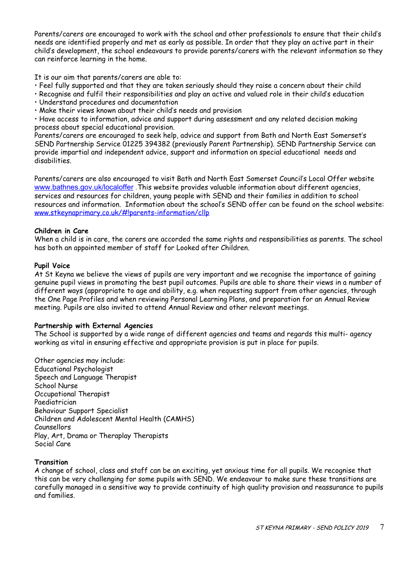Parents/carers are encouraged to work with the school and other professionals to ensure that their child's needs are identified properly and met as early as possible. In order that they play an active part in their child's development, the school endeavours to provide parents/carers with the relevant information so they can reinforce learning in the home.

It is our aim that parents/carers are able to:

- Feel fully supported and that they are taken seriously should they raise a concern about their child
- Recognise and fulfil their responsibilities and play an active and valued role in their child's education
- Understand procedures and documentation
- Make their views known about their child's needs and provision

• Have access to information, advice and support during assessment and any related decision making process about special educational provision.

Parents/carers are encouraged to seek help, advice and support from Bath and North East Somerset's SEND Partnership Service 01225 394382 (previously Parent Partnership). SEND Partnership Service can provide impartial and independent advice, support and information on special educational needs and disabilities.

Parents/carers are also encouraged to visit Bath and North East Somerset Council's Local Offer website [www.bathnes.gov.uk/localoffer](http://www.bathnes.gov.uk/localoffer) . This website provides valuable information about different agencies, services and resources for children, young people with SEND and their families in addition to school resources and information. Information about the school's SEND offer can be found on the school website: [www.stkeynaprimary.co.uk/#!parents-information/cllp](http://www.stkeynaprimary.co.uk/#!parents-information/cllp)

# **Children in Care**

When a child is in care, the carers are accorded the same rights and responsibilities as parents. The school has both an appointed member of staff for Looked after Children.

### **Pupil Voice**

At St Keyna we believe the views of pupils are very important and we recognise the importance of gaining genuine pupil views in promoting the best pupil outcomes. Pupils are able to share their views in a number of different ways (appropriate to age and ability, e.g. when requesting support from other agencies, through the One Page Profiles and when reviewing Personal Learning Plans, and preparation for an Annual Review meeting. Pupils are also invited to attend Annual Review and other relevant meetings.

### **Partnership with External Agencies**

The School is supported by a wide range of different agencies and teams and regards this multi- agency working as vital in ensuring effective and appropriate provision is put in place for pupils.

Other agencies may include: Educational Psychologist Speech and Language Therapist School Nurse Occupational Therapist Paediatrician Behaviour Support Specialist Children and Adolescent Mental Health (CAMHS) Counsellors Play, Art, Drama or Theraplay Therapists Social Care

# **Transition**

A change of school, class and staff can be an exciting, yet anxious time for all pupils. We recognise that this can be very challenging for some pupils with SEND. We endeavour to make sure these transitions are carefully managed in a sensitive way to provide continuity of high quality provision and reassurance to pupils and families.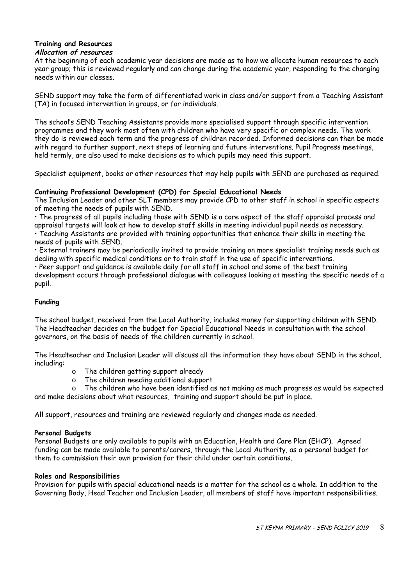#### **Training and Resources Allocation of resources**

At the beginning of each academic year decisions are made as to how we allocate human resources to each year group; this is reviewed regularly and can change during the academic year, responding to the changing needs within our classes.

SEND support may take the form of differentiated work in class and/or support from a Teaching Assistant (TA) in focused intervention in groups, or for individuals.

The school's SEND Teaching Assistants provide more specialised support through specific intervention programmes and they work most often with children who have very specific or complex needs. The work they do is reviewed each term and the progress of children recorded. Informed decisions can then be made with regard to further support, next steps of learning and future interventions. Pupil Progress meetings, held termly, are also used to make decisions as to which pupils may need this support.

Specialist equipment, books or other resources that may help pupils with SEND are purchased as required.

# **Continuing Professional Development (CPD) for Special Educational Needs**

The Inclusion Leader and other SLT members may provide CPD to other staff in school in specific aspects of meeting the needs of pupils with SEND.

• The progress of all pupils including those with SEND is a core aspect of the staff appraisal process and appraisal targets will look at how to develop staff skills in meeting individual pupil needs as necessary.

• Teaching Assistants are provided with training opportunities that enhance their skills in meeting the needs of pupils with SEND.

• External trainers may be periodically invited to provide training on more specialist training needs such as dealing with specific medical conditions or to train staff in the use of specific interventions.

• Peer support and guidance is available daily for all staff in school and some of the best training development occurs through professional dialogue with colleagues looking at meeting the specific needs of a pupil.

# **Funding**

The school budget, received from the Local Authority, includes money for supporting children with SEND. The Headteacher decides on the budget for Special Educational Needs in consultation with the school governors, on the basis of needs of the children currently in school.

The Headteacher and Inclusion Leader will discuss all the information they have about SEND in the school, including:

- o The children getting support already
- o The children needing additional support
- o The children who have been identified as not making as much progress as would be expected and make decisions about what resources, training and support should be put in place.

All support, resources and training are reviewed regularly and changes made as needed.

# **Personal Budgets**

Personal Budgets are only available to pupils with an Education, Health and Care Plan (EHCP). Agreed funding can be made available to parents/carers, through the Local Authority, as a personal budget for them to commission their own provision for their child under certain conditions.

### **Roles and Responsibilities**

Provision for pupils with special educational needs is a matter for the school as a whole. In addition to the Governing Body, Head Teacher and Inclusion Leader, all members of staff have important responsibilities.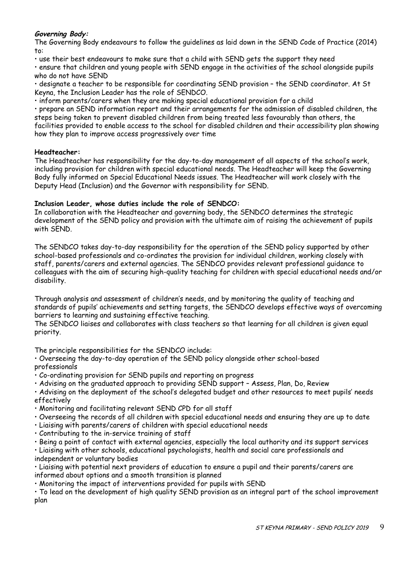# **Governing Body:**

The Governing Body endeavours to follow the guidelines as laid down in the SEND Code of Practice (2014) to:

• use their best endeavours to make sure that a child with SEND gets the support they need

• ensure that children and young people with SEND engage in the activities of the school alongside pupils who do not have SEND

• designate a teacher to be responsible for coordinating SEND provision – the SEND coordinator. At St Keyna, the Inclusion Leader has the role of SENDCO.

• inform parents/carers when they are making special educational provision for a child

• prepare an SEND information report and their arrangements for the admission of disabled children, the steps being taken to prevent disabled children from being treated less favourably than others, the facilities provided to enable access to the school for disabled children and their accessibility plan showing how they plan to improve access progressively over time

### **Headteacher:**

The Headteacher has responsibility for the day-to-day management of all aspects of the school's work, including provision for children with special educational needs. The Headteacher will keep the Governing Body fully informed on Special Educational Needs issues. The Headteacher will work closely with the Deputy Head (Inclusion) and the Governor with responsibility for SEND.

### **Inclusion Leader, whose duties include the role of SENDCO:**

In collaboration with the Headteacher and governing body, the SENDCO determines the strategic development of the SEND policy and provision with the ultimate aim of raising the achievement of pupils with SEND.

The SENDCO takes day-to-day responsibility for the operation of the SEND policy supported by other school-based professionals and co-ordinates the provision for individual children, working closely with staff, parents/carers and external agencies. The SENDCO provides relevant professional guidance to colleagues with the aim of securing high-quality teaching for children with special educational needs and/or disability.

Through analysis and assessment of children's needs, and by monitoring the quality of teaching and standards of pupils' achievements and setting targets, the SENDCO develops effective ways of overcoming barriers to learning and sustaining effective teaching.

The SENDCO liaises and collaborates with class teachers so that learning for all children is given equal priority.

The principle responsibilities for the SENDCO include:

• Overseeing the day-to-day operation of the SEND policy alongside other school-based professionals

- Co-ordinating provision for SEND pupils and reporting on progress
- Advising on the graduated approach to providing SEND support Assess, Plan, Do, Review

• Advising on the deployment of the school's delegated budget and other resources to meet pupils' needs effectively

- Monitoring and facilitating relevant SEND CPD for all staff
- Overseeing the records of all children with special educational needs and ensuring they are up to date
- Liaising with parents/carers of children with special educational needs
- Contributing to the in-service training of staff
- Being a point of contact with external agencies, especially the local authority and its support services

• Liaising with other schools, educational psychologists, health and social care professionals and independent or voluntary bodies

• Liaising with potential next providers of education to ensure a pupil and their parents/carers are informed about options and a smooth transition is planned

• Monitoring the impact of interventions provided for pupils with SEND

• To lead on the development of high quality SEND provision as an integral part of the school improvement plan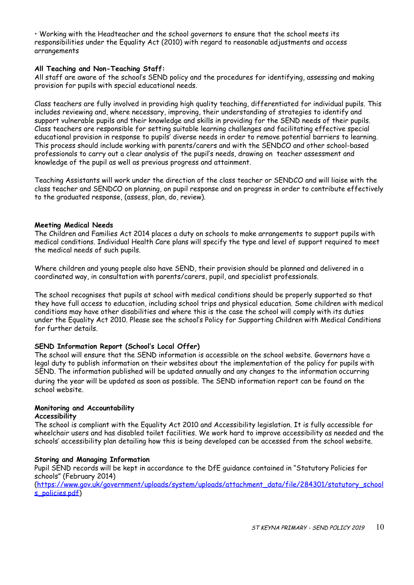• Working with the Headteacher and the school governors to ensure that the school meets its responsibilities under the Equality Act (2010) with regard to reasonable adjustments and access arrangements

### **All Teaching and Non-Teaching Staff:**

All staff are aware of the school's SEND policy and the procedures for identifying, assessing and making provision for pupils with special educational needs.

Class teachers are fully involved in providing high quality teaching, differentiated for individual pupils. This includes reviewing and, where necessary, improving, their understanding of strategies to identify and support vulnerable pupils and their knowledge and skills in providing for the SEND needs of their pupils. Class teachers are responsible for setting suitable learning challenges and facilitating effective special educational provision in response to pupils' diverse needs in order to remove potential barriers to learning. This process should include working with parents/carers and with the SENDCO and other school-based professionals to carry out a clear analysis of the pupil's needs, drawing on teacher assessment and knowledge of the pupil as well as previous progress and attainment.

Teaching Assistants will work under the direction of the class teacher or SENDCO and will liaise with the class teacher and SENDCO on planning, on pupil response and on progress in order to contribute effectively to the graduated response, (assess, plan, do, review).

### **Meeting Medical Needs**

The Children and Families Act 2014 places a duty on schools to make arrangements to support pupils with medical conditions. Individual Health Care plans will specify the type and level of support required to meet the medical needs of such pupils.

Where children and young people also have SEND, their provision should be planned and delivered in a coordinated way, in consultation with parents/carers, pupil, and specialist professionals.

The school recognises that pupils at school with medical conditions should be properly supported so that they have full access to education, including school trips and physical education. Some children with medical conditions may have other disabilities and where this is the case the school will comply with its duties under the Equality Act 2010. Please see the school's Policy for Supporting Children with Medical Conditions for further details.

# **SEND Information Report (School's Local Offer)**

The school will ensure that the SEND information is accessible on the school website. Governors have a legal duty to publish information on their websites about the implementation of the policy for pupils with SEND. The information published will be updated annually and any changes to the information occurring during the year will be updated as soon as possible. The SEND information report can be found on the school website.

# **Monitoring and Accountability**

### **Accessibility**

The school is compliant with the Equality Act 2010 and Accessibility legislation. It is fully accessible for wheelchair users and has disabled toilet facilities. We work hard to improve accessibility as needed and the schools' accessibility plan detailing how this is being developed can be accessed from the school website.

### **Storing and Managing Information**

Pupil SEND records will be kept in accordance to the DfE guidance contained in "Statutory Policies for schools" (February 2014)

[\(https://www.gov.uk/government/uploads/system/uploads/attachment\\_data/file/284301/statutory\\_school](https://www.gov.uk/government/uploads/system/uploads/attachment_data/file/284301/statutory_schools_policies.pdf) [s\\_policies.pdf](https://www.gov.uk/government/uploads/system/uploads/attachment_data/file/284301/statutory_schools_policies.pdf))